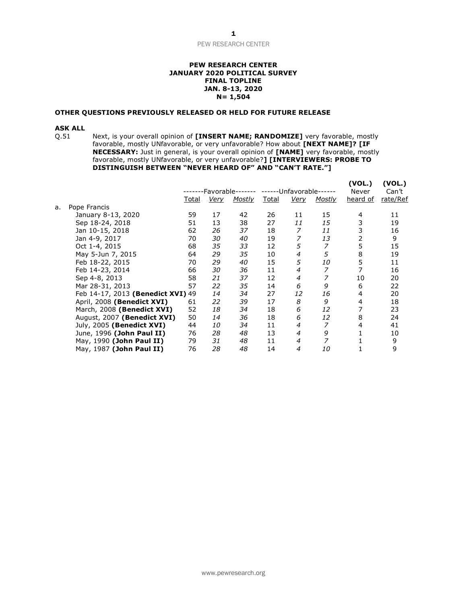# PEW RESEARCH CENTER

## **PEW RESEARCH CENTER JANUARY 2020 POLITICAL SURVEY FINAL TOPLINE JAN. 8-13, 2020 N= 1,504**

#### **OTHER QUESTIONS PREVIOUSLY RELEASED OR HELD FOR FUTURE RELEASE**

**ASK ALL**<br>Q.51 Next, is your overall opinion of **[INSERT NAME; RANDOMIZE]** very favorable, mostly favorable, mostly UNfavorable, or very unfavorable? How about **[NEXT NAME]? [IF NECESSARY:** Just in general, is your overall opinion of **[NAME]** very favorable, mostly favorable, mostly UNfavorable, or very unfavorable?**] [INTERVIEWERS: PROBE TO DISTINGUISH BETWEEN "NEVER HEARD OF" AND "CAN'T RATE."]**

|    |                                   | -Favorable-  |             |               | -Unfavorable- |                |               | (VOL.)<br>Never | (VOL.)<br>Can't |  |
|----|-----------------------------------|--------------|-------------|---------------|---------------|----------------|---------------|-----------------|-----------------|--|
|    |                                   | <u>Total</u> | <u>Very</u> | <b>Mostly</b> | <u>Total</u>  | <u>Verv</u>    | <b>Mostly</b> | heard of        | rate/Ref        |  |
| a. | Pope Francis                      |              |             |               |               |                |               |                 |                 |  |
|    | January 8-13, 2020                | 59           | 17          | 42            | 26            | 11             | 15            | 4               | 11              |  |
|    | Sep 18-24, 2018                   | 51           | 13          | 38            | 27            | 11             | 15            | 3               | 19              |  |
|    | Jan 10-15, 2018                   | 62           | 26          | 37            | 18            | 7              | 11            | 3               | 16              |  |
|    | Jan 4-9, 2017                     | 70           | 30          | 40            | 19            |                | 13            | 2               | 9               |  |
|    | Oct 1-4, 2015                     | 68           | 35          | 33            | 12            | 5              | 7             | 5               | 15              |  |
|    | May 5-Jun 7, 2015                 | 64           | 29          | 35            | 10            | 4              | 5             | 8               | 19              |  |
|    | Feb 18-22, 2015                   | 70           | 29          | 40            | 15            | 5              | <i>10</i>     | 5               | 11              |  |
|    | Feb 14-23, 2014                   | 66           | 30          | 36            | 11            | 4              | 7             | 7               | 16              |  |
|    | Sep 4-8, 2013                     | 58           | 21          | 37            | 12            | 4              |               | 10              | 20              |  |
|    | Mar 28-31, 2013                   | 57           | 22          | 35            | 14            | 6              | 9             | 6               | 22              |  |
|    | Feb 14-17, 2013 (Benedict XVI) 49 |              | 14          | 34            | 27            | 12             | 16            | 4               | 20              |  |
|    | April, 2008 (Benedict XVI)        | 61           | 22          | 39            | 17            | 8              | 9             | 4               | 18              |  |
|    | March, 2008 (Benedict XVI)        | 52           | 18          | 34            | 18            | 6              | 12            |                 | 23              |  |
|    | August, 2007 (Benedict XVI)       | 50           | 14          | 36            | 18            | 6              | 12            | 8               | 24              |  |
|    | July, 2005 (Benedict XVI)         | 44           | 10          | 34            | 11            | 4              | 7             | 4               | 41              |  |
|    | June, 1996 (John Paul II)         | 76           | 28          | 48            | 13            | $\overline{4}$ | 9             |                 | 10              |  |
|    | May, 1990 (John Paul II)          | 79           | 31          | 48            | 11            | $\overline{4}$ | 7             |                 | 9               |  |
|    | May, 1987 (John Paul II)          | 76           | 28          | 48            | 14            | 4              | 10            |                 | 9               |  |